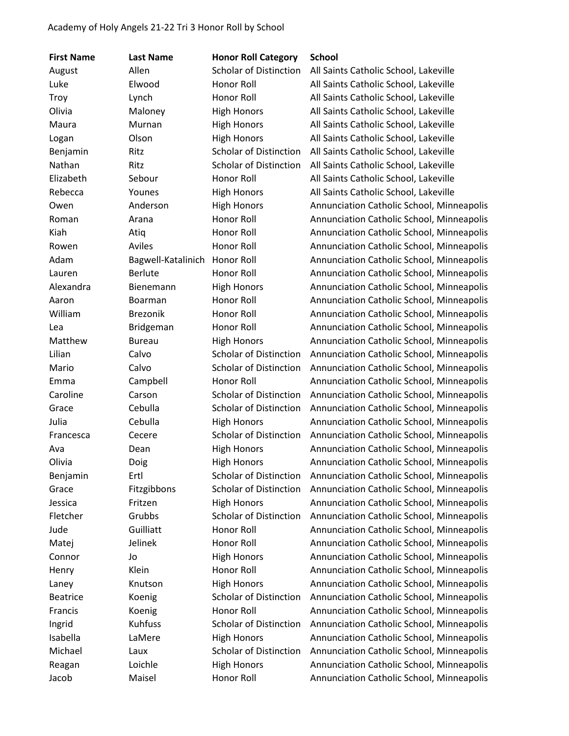| <b>First Name</b> | <b>Last Name</b>   | <b>Honor Roll Category</b>    | <b>School</b>                             |
|-------------------|--------------------|-------------------------------|-------------------------------------------|
| August            | Allen              | <b>Scholar of Distinction</b> | All Saints Catholic School, Lakeville     |
| Luke              | Elwood             | Honor Roll                    | All Saints Catholic School, Lakeville     |
| Troy              | Lynch              | Honor Roll                    | All Saints Catholic School, Lakeville     |
| Olivia            | Maloney            | <b>High Honors</b>            | All Saints Catholic School, Lakeville     |
| Maura             | Murnan             | <b>High Honors</b>            | All Saints Catholic School, Lakeville     |
| Logan             | Olson              | <b>High Honors</b>            | All Saints Catholic School, Lakeville     |
| Benjamin          | Ritz               | <b>Scholar of Distinction</b> | All Saints Catholic School, Lakeville     |
| Nathan            | Ritz               | <b>Scholar of Distinction</b> | All Saints Catholic School, Lakeville     |
| Elizabeth         | Sebour             | Honor Roll                    | All Saints Catholic School, Lakeville     |
| Rebecca           | Younes             | <b>High Honors</b>            | All Saints Catholic School, Lakeville     |
| Owen              | Anderson           | <b>High Honors</b>            | Annunciation Catholic School, Minneapolis |
| Roman             | Arana              | Honor Roll                    | Annunciation Catholic School, Minneapolis |
| Kiah              | Atiq               | Honor Roll                    | Annunciation Catholic School, Minneapolis |
| Rowen             | Aviles             | Honor Roll                    | Annunciation Catholic School, Minneapolis |
| Adam              | Bagwell-Katalinich | Honor Roll                    | Annunciation Catholic School, Minneapolis |
| Lauren            | <b>Berlute</b>     | Honor Roll                    | Annunciation Catholic School, Minneapolis |
| Alexandra         | Bienemann          | <b>High Honors</b>            | Annunciation Catholic School, Minneapolis |
| Aaron             | Boarman            | Honor Roll                    | Annunciation Catholic School, Minneapolis |
| William           | <b>Brezonik</b>    | Honor Roll                    | Annunciation Catholic School, Minneapolis |
| Lea               | <b>Bridgeman</b>   | Honor Roll                    | Annunciation Catholic School, Minneapolis |
| Matthew           | <b>Bureau</b>      | <b>High Honors</b>            | Annunciation Catholic School, Minneapolis |
| Lilian            | Calvo              | <b>Scholar of Distinction</b> | Annunciation Catholic School, Minneapolis |
| Mario             | Calvo              | <b>Scholar of Distinction</b> | Annunciation Catholic School, Minneapolis |
| Emma              | Campbell           | Honor Roll                    | Annunciation Catholic School, Minneapolis |
| Caroline          | Carson             | <b>Scholar of Distinction</b> | Annunciation Catholic School, Minneapolis |
| Grace             | Cebulla            | <b>Scholar of Distinction</b> | Annunciation Catholic School, Minneapolis |
| Julia             | Cebulla            | <b>High Honors</b>            | Annunciation Catholic School, Minneapolis |
| Francesca         | Cecere             | <b>Scholar of Distinction</b> | Annunciation Catholic School, Minneapolis |
| Ava               | Dean               | <b>High Honors</b>            | Annunciation Catholic School, Minneapolis |
| Olivia            | Doig               | <b>High Honors</b>            | Annunciation Catholic School, Minneapolis |
| Benjamin          | Ertl               | Scholar of Distinction        | Annunciation Catholic School, Minneapolis |
| Grace             | Fitzgibbons        | <b>Scholar of Distinction</b> | Annunciation Catholic School, Minneapolis |
| Jessica           | Fritzen            | <b>High Honors</b>            | Annunciation Catholic School, Minneapolis |
| Fletcher          | Grubbs             | <b>Scholar of Distinction</b> | Annunciation Catholic School, Minneapolis |
| Jude              | Guilliatt          | Honor Roll                    | Annunciation Catholic School, Minneapolis |
| Matej             | Jelinek            | Honor Roll                    | Annunciation Catholic School, Minneapolis |
| Connor            | Jo                 | <b>High Honors</b>            | Annunciation Catholic School, Minneapolis |
| Henry             | Klein              | Honor Roll                    | Annunciation Catholic School, Minneapolis |
| Laney             | Knutson            | <b>High Honors</b>            | Annunciation Catholic School, Minneapolis |
| <b>Beatrice</b>   | Koenig             | <b>Scholar of Distinction</b> | Annunciation Catholic School, Minneapolis |
| Francis           | Koenig             | Honor Roll                    | Annunciation Catholic School, Minneapolis |
| Ingrid            | Kuhfuss            | Scholar of Distinction        | Annunciation Catholic School, Minneapolis |
| Isabella          | LaMere             | <b>High Honors</b>            | Annunciation Catholic School, Minneapolis |
| Michael           | Laux               | <b>Scholar of Distinction</b> | Annunciation Catholic School, Minneapolis |
| Reagan            | Loichle            | <b>High Honors</b>            | Annunciation Catholic School, Minneapolis |
| Jacob             | Maisel             | Honor Roll                    | Annunciation Catholic School, Minneapolis |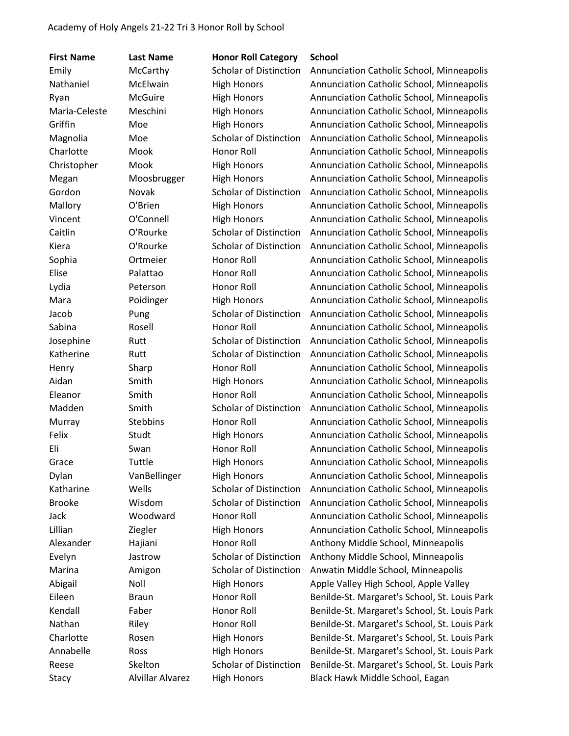| <b>First Name</b> | <b>Last Name</b> | <b>Honor Roll Category</b>    | <b>School</b>                                 |
|-------------------|------------------|-------------------------------|-----------------------------------------------|
| Emily             | McCarthy         | Scholar of Distinction        | Annunciation Catholic School, Minneapolis     |
| Nathaniel         | McElwain         | <b>High Honors</b>            | Annunciation Catholic School, Minneapolis     |
| Ryan              | <b>McGuire</b>   | <b>High Honors</b>            | Annunciation Catholic School, Minneapolis     |
| Maria-Celeste     | Meschini         | <b>High Honors</b>            | Annunciation Catholic School, Minneapolis     |
| Griffin           | Moe              | <b>High Honors</b>            | Annunciation Catholic School, Minneapolis     |
| Magnolia          | Moe              | <b>Scholar of Distinction</b> | Annunciation Catholic School, Minneapolis     |
| Charlotte         | Mook             | Honor Roll                    | Annunciation Catholic School, Minneapolis     |
| Christopher       | Mook             | <b>High Honors</b>            | Annunciation Catholic School, Minneapolis     |
| Megan             | Moosbrugger      | <b>High Honors</b>            | Annunciation Catholic School, Minneapolis     |
| Gordon            | Novak            | Scholar of Distinction        | Annunciation Catholic School, Minneapolis     |
| Mallory           | O'Brien          | <b>High Honors</b>            | Annunciation Catholic School, Minneapolis     |
| Vincent           | O'Connell        | <b>High Honors</b>            | Annunciation Catholic School, Minneapolis     |
| Caitlin           | O'Rourke         | <b>Scholar of Distinction</b> | Annunciation Catholic School, Minneapolis     |
| Kiera             | O'Rourke         | <b>Scholar of Distinction</b> | Annunciation Catholic School, Minneapolis     |
| Sophia            | Ortmeier         | Honor Roll                    | Annunciation Catholic School, Minneapolis     |
| Elise             | Palattao         | Honor Roll                    | Annunciation Catholic School, Minneapolis     |
| Lydia             | Peterson         | Honor Roll                    | Annunciation Catholic School, Minneapolis     |
| Mara              | Poidinger        | <b>High Honors</b>            | Annunciation Catholic School, Minneapolis     |
| Jacob             | Pung             | <b>Scholar of Distinction</b> | Annunciation Catholic School, Minneapolis     |
| Sabina            | Rosell           | Honor Roll                    | Annunciation Catholic School, Minneapolis     |
| Josephine         | Rutt             | <b>Scholar of Distinction</b> | Annunciation Catholic School, Minneapolis     |
| Katherine         | Rutt             | <b>Scholar of Distinction</b> | Annunciation Catholic School, Minneapolis     |
| Henry             | Sharp            | Honor Roll                    | Annunciation Catholic School, Minneapolis     |
| Aidan             | Smith            | <b>High Honors</b>            | Annunciation Catholic School, Minneapolis     |
| Eleanor           | Smith            | Honor Roll                    | Annunciation Catholic School, Minneapolis     |
| Madden            | Smith            | <b>Scholar of Distinction</b> | Annunciation Catholic School, Minneapolis     |
| Murray            | <b>Stebbins</b>  | Honor Roll                    | Annunciation Catholic School, Minneapolis     |
| Felix             | Studt            | <b>High Honors</b>            | Annunciation Catholic School, Minneapolis     |
| Eli               | Swan             | <b>Honor Roll</b>             | Annunciation Catholic School, Minneapolis     |
| Grace             | Tuttle           | <b>High Honors</b>            | Annunciation Catholic School, Minneapolis     |
| Dylan             | VanBellinger     | <b>High Honors</b>            | Annunciation Catholic School, Minneapolis     |
| Katharine         | Wells            | <b>Scholar of Distinction</b> | Annunciation Catholic School, Minneapolis     |
| <b>Brooke</b>     | Wisdom           | <b>Scholar of Distinction</b> | Annunciation Catholic School, Minneapolis     |
| Jack              | Woodward         | Honor Roll                    | Annunciation Catholic School, Minneapolis     |
| Lillian           | Ziegler          | <b>High Honors</b>            | Annunciation Catholic School, Minneapolis     |
| Alexander         | Hajiani          | Honor Roll                    | Anthony Middle School, Minneapolis            |
| Evelyn            | Jastrow          | <b>Scholar of Distinction</b> | Anthony Middle School, Minneapolis            |
| Marina            | Amigon           | Scholar of Distinction        | Anwatin Middle School, Minneapolis            |
| Abigail           | Noll             | <b>High Honors</b>            | Apple Valley High School, Apple Valley        |
| Eileen            | <b>Braun</b>     | Honor Roll                    | Benilde-St. Margaret's School, St. Louis Park |
| Kendall           | Faber            | Honor Roll                    | Benilde-St. Margaret's School, St. Louis Park |
| Nathan            | Riley            | Honor Roll                    | Benilde-St. Margaret's School, St. Louis Park |
| Charlotte         | Rosen            | <b>High Honors</b>            | Benilde-St. Margaret's School, St. Louis Park |
| Annabelle         | Ross             | <b>High Honors</b>            | Benilde-St. Margaret's School, St. Louis Park |
| Reese             | Skelton          | Scholar of Distinction        | Benilde-St. Margaret's School, St. Louis Park |
| Stacy             | Alvillar Alvarez | <b>High Honors</b>            | Black Hawk Middle School, Eagan               |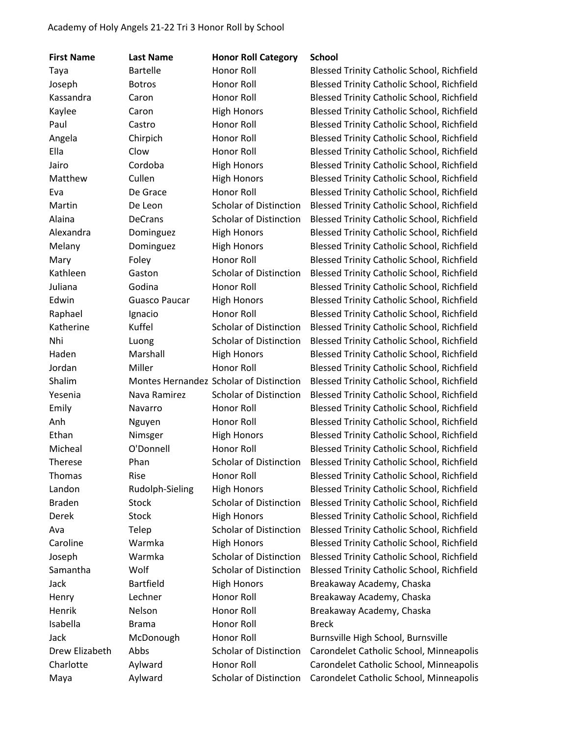| <b>First Name</b> | <b>Last Name</b>     | <b>Honor Roll Category</b>              | <b>School</b>                                     |
|-------------------|----------------------|-----------------------------------------|---------------------------------------------------|
| Taya              | <b>Bartelle</b>      | Honor Roll                              | <b>Blessed Trinity Catholic School, Richfield</b> |
| Joseph            | <b>Botros</b>        | Honor Roll                              | <b>Blessed Trinity Catholic School, Richfield</b> |
| Kassandra         | Caron                | Honor Roll                              | Blessed Trinity Catholic School, Richfield        |
| Kaylee            | Caron                | <b>High Honors</b>                      | <b>Blessed Trinity Catholic School, Richfield</b> |
| Paul              | Castro               | Honor Roll                              | <b>Blessed Trinity Catholic School, Richfield</b> |
| Angela            | Chirpich             | Honor Roll                              | <b>Blessed Trinity Catholic School, Richfield</b> |
| Ella              | Clow                 | Honor Roll                              | <b>Blessed Trinity Catholic School, Richfield</b> |
| Jairo             | Cordoba              | <b>High Honors</b>                      | <b>Blessed Trinity Catholic School, Richfield</b> |
| Matthew           | Cullen               | <b>High Honors</b>                      | <b>Blessed Trinity Catholic School, Richfield</b> |
| Eva               | De Grace             | Honor Roll                              | <b>Blessed Trinity Catholic School, Richfield</b> |
| Martin            | De Leon              | <b>Scholar of Distinction</b>           | <b>Blessed Trinity Catholic School, Richfield</b> |
| Alaina            | <b>DeCrans</b>       | <b>Scholar of Distinction</b>           | <b>Blessed Trinity Catholic School, Richfield</b> |
| Alexandra         | Dominguez            | <b>High Honors</b>                      | <b>Blessed Trinity Catholic School, Richfield</b> |
| Melany            | Dominguez            | <b>High Honors</b>                      | <b>Blessed Trinity Catholic School, Richfield</b> |
| Mary              | Foley                | Honor Roll                              | <b>Blessed Trinity Catholic School, Richfield</b> |
| Kathleen          | Gaston               | <b>Scholar of Distinction</b>           | <b>Blessed Trinity Catholic School, Richfield</b> |
| Juliana           | Godina               | <b>Honor Roll</b>                       | <b>Blessed Trinity Catholic School, Richfield</b> |
| Edwin             | <b>Guasco Paucar</b> | <b>High Honors</b>                      | <b>Blessed Trinity Catholic School, Richfield</b> |
| Raphael           | Ignacio              | Honor Roll                              | <b>Blessed Trinity Catholic School, Richfield</b> |
| Katherine         | Kuffel               | <b>Scholar of Distinction</b>           | <b>Blessed Trinity Catholic School, Richfield</b> |
| Nhi               | Luong                | <b>Scholar of Distinction</b>           | <b>Blessed Trinity Catholic School, Richfield</b> |
| Haden             | Marshall             | <b>High Honors</b>                      | <b>Blessed Trinity Catholic School, Richfield</b> |
| Jordan            | Miller               | <b>Honor Roll</b>                       | <b>Blessed Trinity Catholic School, Richfield</b> |
| Shalim            |                      | Montes Hernandez Scholar of Distinction | <b>Blessed Trinity Catholic School, Richfield</b> |
| Yesenia           | Nava Ramirez         | <b>Scholar of Distinction</b>           | <b>Blessed Trinity Catholic School, Richfield</b> |
| Emily             | Navarro              | Honor Roll                              | <b>Blessed Trinity Catholic School, Richfield</b> |
| Anh               | Nguyen               | Honor Roll                              | <b>Blessed Trinity Catholic School, Richfield</b> |
| Ethan             | Nimsger              | <b>High Honors</b>                      | <b>Blessed Trinity Catholic School, Richfield</b> |
| Micheal           | O'Donnell            | Honor Roll                              | <b>Blessed Trinity Catholic School, Richfield</b> |
| Therese           | Phan                 | <b>Scholar of Distinction</b>           | <b>Blessed Trinity Catholic School, Richfield</b> |
| <b>Thomas</b>     | Rise                 | Honor Roll                              | Blessed Trinity Catholic School, Richfield        |
| Landon            | Rudolph-Sieling      | <b>High Honors</b>                      | <b>Blessed Trinity Catholic School, Richfield</b> |
| <b>Braden</b>     | Stock                | <b>Scholar of Distinction</b>           | <b>Blessed Trinity Catholic School, Richfield</b> |
| Derek             | <b>Stock</b>         | <b>High Honors</b>                      | <b>Blessed Trinity Catholic School, Richfield</b> |
| Ava               | Telep                | <b>Scholar of Distinction</b>           | <b>Blessed Trinity Catholic School, Richfield</b> |
| Caroline          | Warmka               | <b>High Honors</b>                      | <b>Blessed Trinity Catholic School, Richfield</b> |
| Joseph            | Warmka               | <b>Scholar of Distinction</b>           | <b>Blessed Trinity Catholic School, Richfield</b> |
| Samantha          | Wolf                 | Scholar of Distinction                  | Blessed Trinity Catholic School, Richfield        |
| Jack              | <b>Bartfield</b>     | <b>High Honors</b>                      | Breakaway Academy, Chaska                         |
| Henry             | Lechner              | Honor Roll                              | Breakaway Academy, Chaska                         |
| Henrik            | Nelson               | Honor Roll                              | Breakaway Academy, Chaska                         |
| Isabella          | <b>Brama</b>         | Honor Roll                              | <b>Breck</b>                                      |
| Jack              | McDonough            | Honor Roll                              | Burnsville High School, Burnsville                |
| Drew Elizabeth    | Abbs                 | <b>Scholar of Distinction</b>           | Carondelet Catholic School, Minneapolis           |
| Charlotte         | Aylward              | Honor Roll                              | Carondelet Catholic School, Minneapolis           |
| Maya              | Aylward              | <b>Scholar of Distinction</b>           | Carondelet Catholic School, Minneapolis           |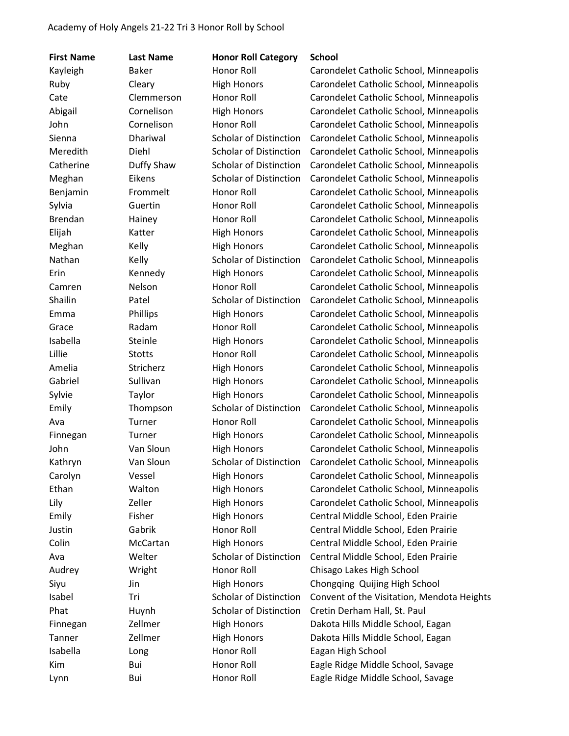| <b>First Name</b> | <b>Last Name</b> | <b>Honor Roll Category</b>    | <b>School</b>                              |
|-------------------|------------------|-------------------------------|--------------------------------------------|
| Kayleigh          | <b>Baker</b>     | Honor Roll                    | Carondelet Catholic School, Minneapolis    |
| Ruby              | Cleary           | <b>High Honors</b>            | Carondelet Catholic School, Minneapolis    |
| Cate              | Clemmerson       | Honor Roll                    | Carondelet Catholic School, Minneapolis    |
| Abigail           | Cornelison       | <b>High Honors</b>            | Carondelet Catholic School, Minneapolis    |
| John              | Cornelison       | Honor Roll                    | Carondelet Catholic School, Minneapolis    |
| Sienna            | Dhariwal         | <b>Scholar of Distinction</b> | Carondelet Catholic School, Minneapolis    |
| Meredith          | Diehl            | <b>Scholar of Distinction</b> | Carondelet Catholic School, Minneapolis    |
| Catherine         | Duffy Shaw       | <b>Scholar of Distinction</b> | Carondelet Catholic School, Minneapolis    |
| Meghan            | Eikens           | <b>Scholar of Distinction</b> | Carondelet Catholic School, Minneapolis    |
| Benjamin          | Frommelt         | Honor Roll                    | Carondelet Catholic School, Minneapolis    |
| Sylvia            | Guertin          | <b>Honor Roll</b>             | Carondelet Catholic School, Minneapolis    |
| <b>Brendan</b>    | Hainey           | Honor Roll                    | Carondelet Catholic School, Minneapolis    |
| Elijah            | Katter           | <b>High Honors</b>            | Carondelet Catholic School, Minneapolis    |
| Meghan            | Kelly            | <b>High Honors</b>            | Carondelet Catholic School, Minneapolis    |
| Nathan            | Kelly            | <b>Scholar of Distinction</b> | Carondelet Catholic School, Minneapolis    |
| Erin              | Kennedy          | <b>High Honors</b>            | Carondelet Catholic School, Minneapolis    |
| Camren            | Nelson           | Honor Roll                    | Carondelet Catholic School, Minneapolis    |
| Shailin           | Patel            | <b>Scholar of Distinction</b> | Carondelet Catholic School, Minneapolis    |
| Emma              | Phillips         | <b>High Honors</b>            | Carondelet Catholic School, Minneapolis    |
| Grace             | Radam            | <b>Honor Roll</b>             | Carondelet Catholic School, Minneapolis    |
| Isabella          | Steinle          | <b>High Honors</b>            | Carondelet Catholic School, Minneapolis    |
| Lillie            | <b>Stotts</b>    | Honor Roll                    | Carondelet Catholic School, Minneapolis    |
| Amelia            | Stricherz        | <b>High Honors</b>            | Carondelet Catholic School, Minneapolis    |
| Gabriel           | Sullivan         | <b>High Honors</b>            | Carondelet Catholic School, Minneapolis    |
| Sylvie            | Taylor           | <b>High Honors</b>            | Carondelet Catholic School, Minneapolis    |
| Emily             | Thompson         | <b>Scholar of Distinction</b> | Carondelet Catholic School, Minneapolis    |
| Ava               | Turner           | <b>Honor Roll</b>             | Carondelet Catholic School, Minneapolis    |
| Finnegan          | Turner           | <b>High Honors</b>            | Carondelet Catholic School, Minneapolis    |
| John              | Van Sloun        | <b>High Honors</b>            | Carondelet Catholic School, Minneapolis    |
| Kathryn           | Van Sloun        | <b>Scholar of Distinction</b> | Carondelet Catholic School, Minneapolis    |
| Carolyn           | Vessel           | <b>High Honors</b>            | Carondelet Catholic School, Minneapolis    |
| Ethan             | Walton           | <b>High Honors</b>            | Carondelet Catholic School, Minneapolis    |
| Lily              | Zeller           | <b>High Honors</b>            | Carondelet Catholic School, Minneapolis    |
| Emily             | Fisher           | <b>High Honors</b>            | Central Middle School, Eden Prairie        |
| Justin            | Gabrik           | Honor Roll                    | Central Middle School, Eden Prairie        |
| Colin             | McCartan         | <b>High Honors</b>            | Central Middle School, Eden Prairie        |
| Ava               | Welter           | <b>Scholar of Distinction</b> | Central Middle School, Eden Prairie        |
| Audrey            | Wright           | Honor Roll                    | Chisago Lakes High School                  |
| Siyu              | Jin              | <b>High Honors</b>            | Chongqing Quijing High School              |
| Isabel            | Tri              | Scholar of Distinction        | Convent of the Visitation, Mendota Heights |
| Phat              | Huynh            | <b>Scholar of Distinction</b> | Cretin Derham Hall, St. Paul               |
| Finnegan          | Zellmer          | <b>High Honors</b>            | Dakota Hills Middle School, Eagan          |
| Tanner            | Zellmer          | <b>High Honors</b>            | Dakota Hills Middle School, Eagan          |
| Isabella          | Long             | Honor Roll                    | Eagan High School                          |
| Kim               | Bui              | Honor Roll                    | Eagle Ridge Middle School, Savage          |
| Lynn              | Bui              | Honor Roll                    | Eagle Ridge Middle School, Savage          |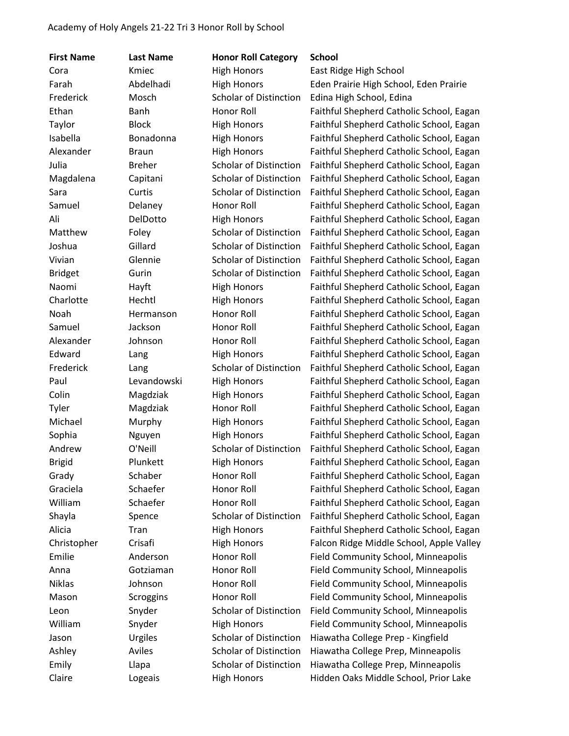| <b>First Name</b> | <b>Last Name</b> | <b>Honor Roll Category</b>    | <b>School</b>                            |
|-------------------|------------------|-------------------------------|------------------------------------------|
| Cora              | Kmiec            | <b>High Honors</b>            | East Ridge High School                   |
| Farah             | Abdelhadi        | <b>High Honors</b>            | Eden Prairie High School, Eden Prairie   |
| Frederick         | Mosch            | <b>Scholar of Distinction</b> | Edina High School, Edina                 |
| Ethan             | Banh             | Honor Roll                    | Faithful Shepherd Catholic School, Eagan |
| Taylor            | <b>Block</b>     | <b>High Honors</b>            | Faithful Shepherd Catholic School, Eagan |
| Isabella          | Bonadonna        | <b>High Honors</b>            | Faithful Shepherd Catholic School, Eagan |
| Alexander         | <b>Braun</b>     | <b>High Honors</b>            | Faithful Shepherd Catholic School, Eagan |
| Julia             | <b>Breher</b>    | <b>Scholar of Distinction</b> | Faithful Shepherd Catholic School, Eagan |
| Magdalena         | Capitani         | <b>Scholar of Distinction</b> | Faithful Shepherd Catholic School, Eagan |
| Sara              | Curtis           | <b>Scholar of Distinction</b> | Faithful Shepherd Catholic School, Eagan |
| Samuel            | Delaney          | Honor Roll                    | Faithful Shepherd Catholic School, Eagan |
| Ali               | DelDotto         | <b>High Honors</b>            | Faithful Shepherd Catholic School, Eagan |
| Matthew           | Foley            | <b>Scholar of Distinction</b> | Faithful Shepherd Catholic School, Eagan |
| Joshua            | Gillard          | <b>Scholar of Distinction</b> | Faithful Shepherd Catholic School, Eagan |
| Vivian            | Glennie          | <b>Scholar of Distinction</b> | Faithful Shepherd Catholic School, Eagan |
| <b>Bridget</b>    | Gurin            | <b>Scholar of Distinction</b> | Faithful Shepherd Catholic School, Eagan |
| Naomi             | Hayft            | <b>High Honors</b>            | Faithful Shepherd Catholic School, Eagan |
| Charlotte         | Hechtl           | <b>High Honors</b>            | Faithful Shepherd Catholic School, Eagan |
| Noah              | Hermanson        | Honor Roll                    | Faithful Shepherd Catholic School, Eagan |
| Samuel            | Jackson          | Honor Roll                    | Faithful Shepherd Catholic School, Eagan |
| Alexander         | Johnson          | Honor Roll                    | Faithful Shepherd Catholic School, Eagan |
| Edward            | Lang             | <b>High Honors</b>            | Faithful Shepherd Catholic School, Eagan |
| Frederick         | Lang             | <b>Scholar of Distinction</b> | Faithful Shepherd Catholic School, Eagan |
| Paul              | Levandowski      | <b>High Honors</b>            | Faithful Shepherd Catholic School, Eagan |
| Colin             | Magdziak         | <b>High Honors</b>            | Faithful Shepherd Catholic School, Eagan |
| Tyler             | Magdziak         | Honor Roll                    | Faithful Shepherd Catholic School, Eagan |
| Michael           | Murphy           | <b>High Honors</b>            | Faithful Shepherd Catholic School, Eagan |
| Sophia            | Nguyen           | <b>High Honors</b>            | Faithful Shepherd Catholic School, Eagan |
| Andrew            | O'Neill          | <b>Scholar of Distinction</b> | Faithful Shepherd Catholic School, Eagan |
| <b>Brigid</b>     | Plunkett         | <b>High Honors</b>            | Faithful Shepherd Catholic School, Eagan |
| Grady             | Schaber          | Honor Roll                    | Faithful Shepherd Catholic School, Eagan |
| Graciela          | Schaefer         | Honor Roll                    | Faithful Shepherd Catholic School, Eagan |
| William           | Schaefer         | <b>Honor Roll</b>             | Faithful Shepherd Catholic School, Eagan |
| Shayla            | Spence           | <b>Scholar of Distinction</b> | Faithful Shepherd Catholic School, Eagan |
| Alicia            | Tran             | <b>High Honors</b>            | Faithful Shepherd Catholic School, Eagan |
| Christopher       | Crisafi          | <b>High Honors</b>            | Falcon Ridge Middle School, Apple Valley |
| Emilie            | Anderson         | Honor Roll                    | Field Community School, Minneapolis      |
| Anna              | Gotziaman        | <b>Honor Roll</b>             | Field Community School, Minneapolis      |
| <b>Niklas</b>     | Johnson          | Honor Roll                    | Field Community School, Minneapolis      |
| Mason             | Scroggins        | Honor Roll                    | Field Community School, Minneapolis      |
| Leon              | Snyder           | <b>Scholar of Distinction</b> | Field Community School, Minneapolis      |
| William           | Snyder           | <b>High Honors</b>            | Field Community School, Minneapolis      |
| Jason             | Urgiles          | <b>Scholar of Distinction</b> | Hiawatha College Prep - Kingfield        |
| Ashley            | Aviles           | <b>Scholar of Distinction</b> | Hiawatha College Prep, Minneapolis       |
| Emily             | Llapa            | <b>Scholar of Distinction</b> | Hiawatha College Prep, Minneapolis       |
| Claire            | Logeais          | <b>High Honors</b>            | Hidden Oaks Middle School, Prior Lake    |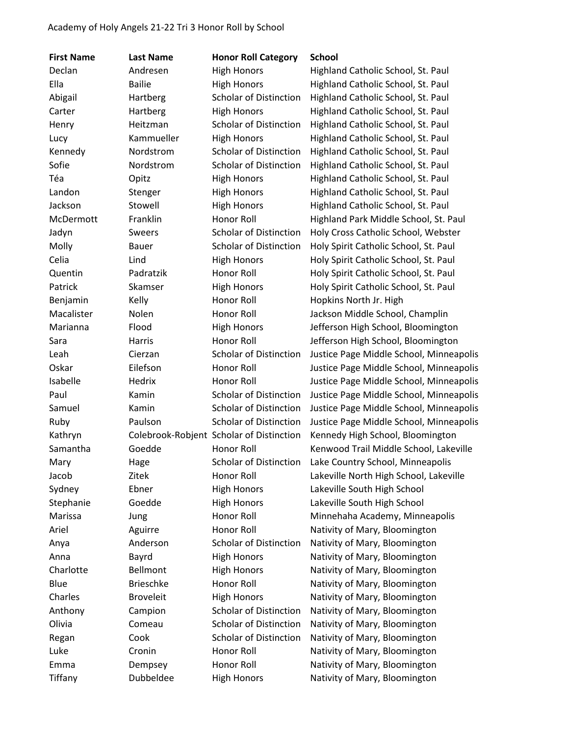| <b>First Name</b> | <b>Last Name</b> | <b>Honor Roll Category</b>               | <b>School</b>                           |
|-------------------|------------------|------------------------------------------|-----------------------------------------|
| Declan            | Andresen         | <b>High Honors</b>                       | Highland Catholic School, St. Paul      |
| Ella              | <b>Bailie</b>    | <b>High Honors</b>                       | Highland Catholic School, St. Paul      |
| Abigail           | Hartberg         | <b>Scholar of Distinction</b>            | Highland Catholic School, St. Paul      |
| Carter            | Hartberg         | <b>High Honors</b>                       | Highland Catholic School, St. Paul      |
| Henry             | Heitzman         | <b>Scholar of Distinction</b>            | Highland Catholic School, St. Paul      |
| Lucy              | Kammueller       | <b>High Honors</b>                       | Highland Catholic School, St. Paul      |
| Kennedy           | Nordstrom        | <b>Scholar of Distinction</b>            | Highland Catholic School, St. Paul      |
| Sofie             | Nordstrom        | <b>Scholar of Distinction</b>            | Highland Catholic School, St. Paul      |
| Téa               | Opitz            | <b>High Honors</b>                       | Highland Catholic School, St. Paul      |
| Landon            | Stenger          | <b>High Honors</b>                       | Highland Catholic School, St. Paul      |
| Jackson           | Stowell          | <b>High Honors</b>                       | Highland Catholic School, St. Paul      |
| McDermott         | Franklin         | Honor Roll                               | Highland Park Middle School, St. Paul   |
| Jadyn             | <b>Sweers</b>    | <b>Scholar of Distinction</b>            | Holy Cross Catholic School, Webster     |
| Molly             | Bauer            | <b>Scholar of Distinction</b>            | Holy Spirit Catholic School, St. Paul   |
| Celia             | Lind             | <b>High Honors</b>                       | Holy Spirit Catholic School, St. Paul   |
| Quentin           | Padratzik        | Honor Roll                               | Holy Spirit Catholic School, St. Paul   |
| Patrick           | Skamser          | <b>High Honors</b>                       | Holy Spirit Catholic School, St. Paul   |
| Benjamin          | Kelly            | Honor Roll                               | Hopkins North Jr. High                  |
| Macalister        | Nolen            | Honor Roll                               | Jackson Middle School, Champlin         |
| Marianna          | Flood            | <b>High Honors</b>                       | Jefferson High School, Bloomington      |
| Sara              | Harris           | Honor Roll                               | Jefferson High School, Bloomington      |
| Leah              | Cierzan          | <b>Scholar of Distinction</b>            | Justice Page Middle School, Minneapolis |
| Oskar             | Eilefson         | Honor Roll                               | Justice Page Middle School, Minneapolis |
| Isabelle          | Hedrix           | Honor Roll                               | Justice Page Middle School, Minneapolis |
| Paul              | Kamin            | <b>Scholar of Distinction</b>            | Justice Page Middle School, Minneapolis |
| Samuel            | Kamin            | <b>Scholar of Distinction</b>            | Justice Page Middle School, Minneapolis |
| Ruby              | Paulson          | <b>Scholar of Distinction</b>            | Justice Page Middle School, Minneapolis |
| Kathryn           |                  | Colebrook-Robjent Scholar of Distinction | Kennedy High School, Bloomington        |
| Samantha          | Goedde           | Honor Roll                               | Kenwood Trail Middle School, Lakeville  |
| Mary              | Hage             | <b>Scholar of Distinction</b>            | Lake Country School, Minneapolis        |
| Jacob             | Zitek            | Honor Roll                               | Lakeville North High School, Lakeville  |
| Sydney            | Ebner            | <b>High Honors</b>                       | Lakeville South High School             |
| Stephanie         | Goedde           | <b>High Honors</b>                       | Lakeville South High School             |
| Marissa           | Jung             | Honor Roll                               | Minnehaha Academy, Minneapolis          |
| Ariel             | Aguirre          | Honor Roll                               | Nativity of Mary, Bloomington           |
| Anya              | Anderson         | <b>Scholar of Distinction</b>            | Nativity of Mary, Bloomington           |
| Anna              | Bayrd            | <b>High Honors</b>                       | Nativity of Mary, Bloomington           |
| Charlotte         | Bellmont         | <b>High Honors</b>                       | Nativity of Mary, Bloomington           |
| Blue              | <b>Brieschke</b> | Honor Roll                               | Nativity of Mary, Bloomington           |
| Charles           | <b>Broveleit</b> | <b>High Honors</b>                       | Nativity of Mary, Bloomington           |
| Anthony           | Campion          | <b>Scholar of Distinction</b>            | Nativity of Mary, Bloomington           |
| Olivia            | Comeau           | Scholar of Distinction                   | Nativity of Mary, Bloomington           |
| Regan             | Cook             | <b>Scholar of Distinction</b>            | Nativity of Mary, Bloomington           |
| Luke              | Cronin           | Honor Roll                               | Nativity of Mary, Bloomington           |
| Emma              | Dempsey          | Honor Roll                               | Nativity of Mary, Bloomington           |
| Tiffany           | Dubbeldee        | <b>High Honors</b>                       | Nativity of Mary, Bloomington           |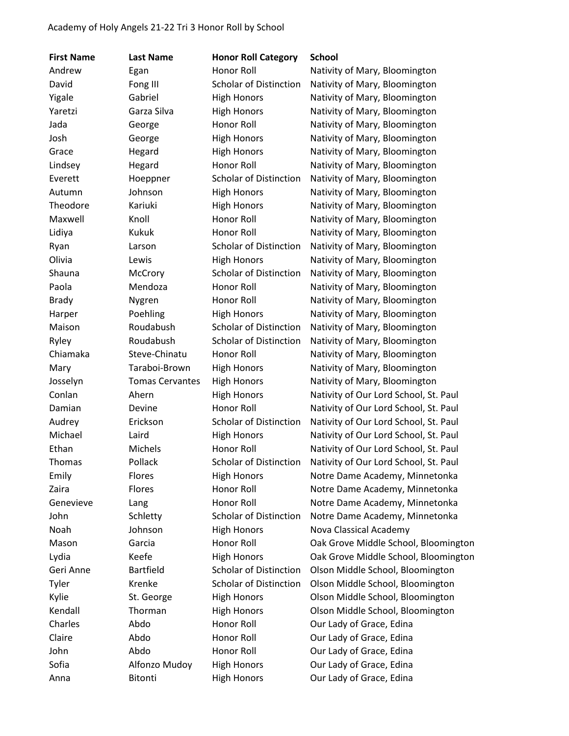| <b>First Name</b> | <b>Last Name</b>       | <b>Honor Roll Category</b>    | <b>School</b>                         |
|-------------------|------------------------|-------------------------------|---------------------------------------|
| Andrew            | Egan                   | Honor Roll                    | Nativity of Mary, Bloomington         |
| David             | Fong III               | <b>Scholar of Distinction</b> | Nativity of Mary, Bloomington         |
| Yigale            | Gabriel                | <b>High Honors</b>            | Nativity of Mary, Bloomington         |
| Yaretzi           | Garza Silva            | <b>High Honors</b>            | Nativity of Mary, Bloomington         |
| Jada              | George                 | Honor Roll                    | Nativity of Mary, Bloomington         |
| Josh              | George                 | <b>High Honors</b>            | Nativity of Mary, Bloomington         |
| Grace             | Hegard                 | <b>High Honors</b>            | Nativity of Mary, Bloomington         |
| Lindsey           | Hegard                 | Honor Roll                    | Nativity of Mary, Bloomington         |
| Everett           | Hoeppner               | <b>Scholar of Distinction</b> | Nativity of Mary, Bloomington         |
| Autumn            | Johnson                | <b>High Honors</b>            | Nativity of Mary, Bloomington         |
| Theodore          | Kariuki                | <b>High Honors</b>            | Nativity of Mary, Bloomington         |
| Maxwell           | Knoll                  | Honor Roll                    | Nativity of Mary, Bloomington         |
| Lidiya            | <b>Kukuk</b>           | Honor Roll                    | Nativity of Mary, Bloomington         |
| Ryan              | Larson                 | <b>Scholar of Distinction</b> | Nativity of Mary, Bloomington         |
| Olivia            | Lewis                  | <b>High Honors</b>            | Nativity of Mary, Bloomington         |
| Shauna            | McCrory                | <b>Scholar of Distinction</b> | Nativity of Mary, Bloomington         |
| Paola             | Mendoza                | <b>Honor Roll</b>             | Nativity of Mary, Bloomington         |
| <b>Brady</b>      | Nygren                 | Honor Roll                    | Nativity of Mary, Bloomington         |
| Harper            | Poehling               | <b>High Honors</b>            | Nativity of Mary, Bloomington         |
| Maison            | Roudabush              | <b>Scholar of Distinction</b> | Nativity of Mary, Bloomington         |
| Ryley             | Roudabush              | <b>Scholar of Distinction</b> | Nativity of Mary, Bloomington         |
| Chiamaka          | Steve-Chinatu          | Honor Roll                    | Nativity of Mary, Bloomington         |
| Mary              | Taraboi-Brown          | <b>High Honors</b>            | Nativity of Mary, Bloomington         |
| Josselyn          | <b>Tomas Cervantes</b> | <b>High Honors</b>            | Nativity of Mary, Bloomington         |
| Conlan            | Ahern                  | <b>High Honors</b>            | Nativity of Our Lord School, St. Paul |
| Damian            | Devine                 | <b>Honor Roll</b>             | Nativity of Our Lord School, St. Paul |
| Audrey            | Erickson               | <b>Scholar of Distinction</b> | Nativity of Our Lord School, St. Paul |
| Michael           | Laird                  | <b>High Honors</b>            | Nativity of Our Lord School, St. Paul |
| Ethan             | Michels                | <b>Honor Roll</b>             | Nativity of Our Lord School, St. Paul |
| Thomas            | Pollack                | <b>Scholar of Distinction</b> | Nativity of Our Lord School, St. Paul |
| Emily             | <b>Flores</b>          | <b>High Honors</b>            | Notre Dame Academy, Minnetonka        |
| Zaira             | Flores                 | Honor Roll                    | Notre Dame Academy, Minnetonka        |
| Genevieve         | Lang                   | Honor Roll                    | Notre Dame Academy, Minnetonka        |
| John              | Schletty               | <b>Scholar of Distinction</b> | Notre Dame Academy, Minnetonka        |
| Noah              | Johnson                | <b>High Honors</b>            | Nova Classical Academy                |
| Mason             | Garcia                 | Honor Roll                    | Oak Grove Middle School, Bloomington  |
| Lydia             | Keefe                  | <b>High Honors</b>            | Oak Grove Middle School, Bloomington  |
| Geri Anne         | <b>Bartfield</b>       | Scholar of Distinction        | Olson Middle School, Bloomington      |
| Tyler             | Krenke                 | <b>Scholar of Distinction</b> | Olson Middle School, Bloomington      |
| Kylie             | St. George             | <b>High Honors</b>            | Olson Middle School, Bloomington      |
| Kendall           | Thorman                | <b>High Honors</b>            | Olson Middle School, Bloomington      |
| Charles           | Abdo                   | Honor Roll                    | Our Lady of Grace, Edina              |
| Claire            | Abdo                   | Honor Roll                    | Our Lady of Grace, Edina              |
| John              | Abdo                   | Honor Roll                    | Our Lady of Grace, Edina              |
| Sofia             | Alfonzo Mudoy          | <b>High Honors</b>            | Our Lady of Grace, Edina              |
| Anna              | Bitonti                | <b>High Honors</b>            | Our Lady of Grace, Edina              |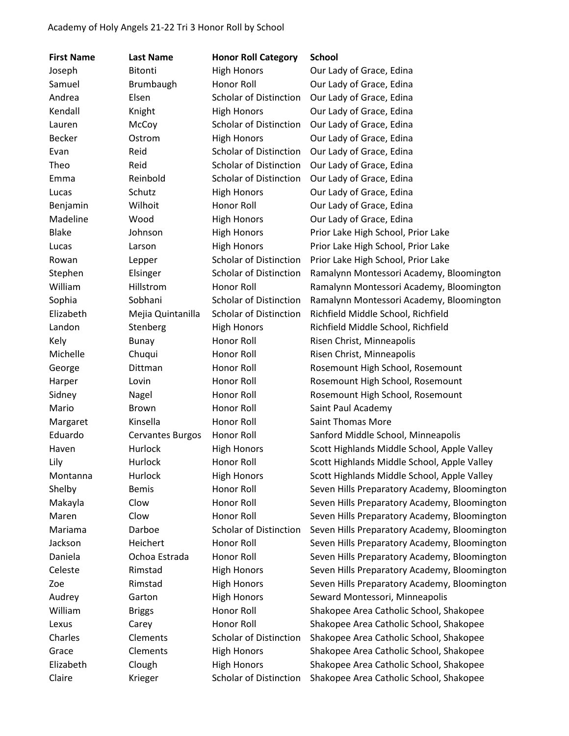| <b>First Name</b> | <b>Last Name</b>        | <b>Honor Roll Category</b>    | <b>School</b>                                |
|-------------------|-------------------------|-------------------------------|----------------------------------------------|
| Joseph            | Bitonti                 | <b>High Honors</b>            | Our Lady of Grace, Edina                     |
| Samuel            | Brumbaugh               | Honor Roll                    | Our Lady of Grace, Edina                     |
| Andrea            | Elsen                   | <b>Scholar of Distinction</b> | Our Lady of Grace, Edina                     |
| Kendall           | Knight                  | <b>High Honors</b>            | Our Lady of Grace, Edina                     |
| Lauren            | McCoy                   | <b>Scholar of Distinction</b> | Our Lady of Grace, Edina                     |
| <b>Becker</b>     | Ostrom                  | <b>High Honors</b>            | Our Lady of Grace, Edina                     |
| Evan              | Reid                    | <b>Scholar of Distinction</b> | Our Lady of Grace, Edina                     |
| Theo              | Reid                    | <b>Scholar of Distinction</b> | Our Lady of Grace, Edina                     |
| Emma              | Reinbold                | <b>Scholar of Distinction</b> | Our Lady of Grace, Edina                     |
| Lucas             | Schutz                  | <b>High Honors</b>            | Our Lady of Grace, Edina                     |
| Benjamin          | Wilhoit                 | Honor Roll                    | Our Lady of Grace, Edina                     |
| Madeline          | Wood                    | <b>High Honors</b>            | Our Lady of Grace, Edina                     |
| <b>Blake</b>      | Johnson                 | <b>High Honors</b>            | Prior Lake High School, Prior Lake           |
| Lucas             | Larson                  | <b>High Honors</b>            | Prior Lake High School, Prior Lake           |
| Rowan             | Lepper                  | <b>Scholar of Distinction</b> | Prior Lake High School, Prior Lake           |
| Stephen           | Elsinger                | <b>Scholar of Distinction</b> | Ramalynn Montessori Academy, Bloomington     |
| William           | Hillstrom               | Honor Roll                    | Ramalynn Montessori Academy, Bloomington     |
| Sophia            | Sobhani                 | <b>Scholar of Distinction</b> | Ramalynn Montessori Academy, Bloomington     |
| Elizabeth         | Mejia Quintanilla       | <b>Scholar of Distinction</b> | Richfield Middle School, Richfield           |
| Landon            | Stenberg                | <b>High Honors</b>            | Richfield Middle School, Richfield           |
| Kely              | <b>Bunay</b>            | Honor Roll                    | Risen Christ, Minneapolis                    |
| Michelle          | Chuqui                  | Honor Roll                    | Risen Christ, Minneapolis                    |
| George            | Dittman                 | Honor Roll                    | Rosemount High School, Rosemount             |
| Harper            | Lovin                   | Honor Roll                    | Rosemount High School, Rosemount             |
| Sidney            | Nagel                   | Honor Roll                    | Rosemount High School, Rosemount             |
| Mario             | <b>Brown</b>            | Honor Roll                    | Saint Paul Academy                           |
| Margaret          | Kinsella                | Honor Roll                    | <b>Saint Thomas More</b>                     |
| Eduardo           | <b>Cervantes Burgos</b> | Honor Roll                    | Sanford Middle School, Minneapolis           |
| Haven             | Hurlock                 | <b>High Honors</b>            | Scott Highlands Middle School, Apple Valley  |
| Lily              | Hurlock                 | Honor Roll                    | Scott Highlands Middle School, Apple Valley  |
| Montanna          | Hurlock                 | <b>High Honors</b>            | Scott Highlands Middle School, Apple Valley  |
| Shelby            | <b>Bemis</b>            | Honor Roll                    | Seven Hills Preparatory Academy, Bloomington |
| Makayla           | Clow                    | Honor Roll                    | Seven Hills Preparatory Academy, Bloomington |
| Maren             | Clow                    | Honor Roll                    | Seven Hills Preparatory Academy, Bloomington |
| Mariama           | Darboe                  | Scholar of Distinction        | Seven Hills Preparatory Academy, Bloomington |
| Jackson           | Heichert                | Honor Roll                    | Seven Hills Preparatory Academy, Bloomington |
| Daniela           | Ochoa Estrada           | Honor Roll                    | Seven Hills Preparatory Academy, Bloomington |
| Celeste           | Rimstad                 | <b>High Honors</b>            | Seven Hills Preparatory Academy, Bloomington |
| Zoe               | Rimstad                 | <b>High Honors</b>            | Seven Hills Preparatory Academy, Bloomington |
| Audrey            | Garton                  | <b>High Honors</b>            | Seward Montessori, Minneapolis               |
| William           | <b>Briggs</b>           | Honor Roll                    | Shakopee Area Catholic School, Shakopee      |
| Lexus             | Carey                   | Honor Roll                    | Shakopee Area Catholic School, Shakopee      |
| Charles           | Clements                | Scholar of Distinction        | Shakopee Area Catholic School, Shakopee      |
| Grace             | Clements                | <b>High Honors</b>            | Shakopee Area Catholic School, Shakopee      |
| Elizabeth         | Clough                  | <b>High Honors</b>            | Shakopee Area Catholic School, Shakopee      |
| Claire            | Krieger                 | Scholar of Distinction        | Shakopee Area Catholic School, Shakopee      |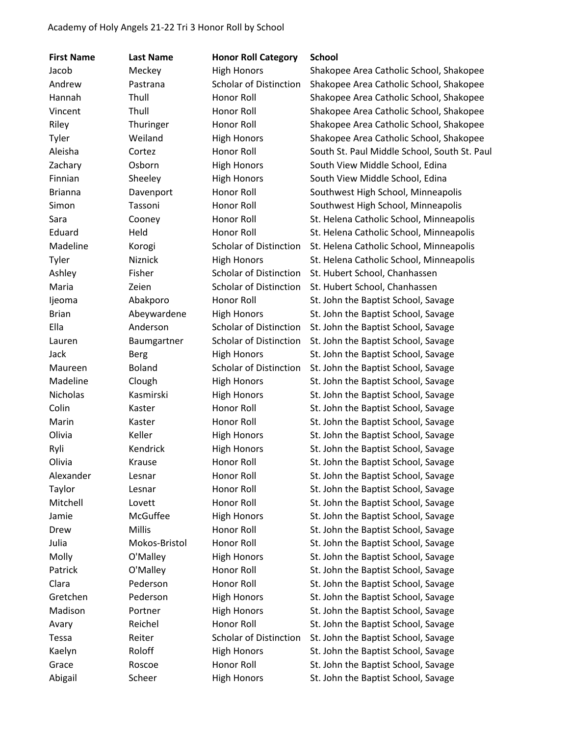| <b>First Name</b> | <b>Last Name</b> | <b>Honor Roll Category</b>    | <b>School</b>                                |
|-------------------|------------------|-------------------------------|----------------------------------------------|
| Jacob             | Meckey           | <b>High Honors</b>            | Shakopee Area Catholic School, Shakopee      |
| Andrew            | Pastrana         | <b>Scholar of Distinction</b> | Shakopee Area Catholic School, Shakopee      |
| Hannah            | Thull            | Honor Roll                    | Shakopee Area Catholic School, Shakopee      |
| Vincent           | Thull            | Honor Roll                    | Shakopee Area Catholic School, Shakopee      |
| Riley             | Thuringer        | Honor Roll                    | Shakopee Area Catholic School, Shakopee      |
| Tyler             | Weiland          | <b>High Honors</b>            | Shakopee Area Catholic School, Shakopee      |
| Aleisha           | Cortez           | Honor Roll                    | South St. Paul Middle School, South St. Paul |
| Zachary           | Osborn           | <b>High Honors</b>            | South View Middle School, Edina              |
| Finnian           | Sheeley          | <b>High Honors</b>            | South View Middle School, Edina              |
| <b>Brianna</b>    | Davenport        | Honor Roll                    | Southwest High School, Minneapolis           |
| Simon             | Tassoni          | Honor Roll                    | Southwest High School, Minneapolis           |
| Sara              | Cooney           | Honor Roll                    | St. Helena Catholic School, Minneapolis      |
| Eduard            | Held             | Honor Roll                    | St. Helena Catholic School, Minneapolis      |
| Madeline          | Korogi           | <b>Scholar of Distinction</b> | St. Helena Catholic School, Minneapolis      |
| Tyler             | <b>Niznick</b>   | <b>High Honors</b>            | St. Helena Catholic School, Minneapolis      |
| Ashley            | Fisher           | <b>Scholar of Distinction</b> | St. Hubert School, Chanhassen                |
| Maria             | Zeien            | <b>Scholar of Distinction</b> | St. Hubert School, Chanhassen                |
| ljeoma            | Abakporo         | Honor Roll                    | St. John the Baptist School, Savage          |
| <b>Brian</b>      | Abeywardene      | <b>High Honors</b>            | St. John the Baptist School, Savage          |
| Ella              | Anderson         | <b>Scholar of Distinction</b> | St. John the Baptist School, Savage          |
| Lauren            | Baumgartner      | <b>Scholar of Distinction</b> | St. John the Baptist School, Savage          |
| Jack              | <b>Berg</b>      | <b>High Honors</b>            | St. John the Baptist School, Savage          |
| Maureen           | <b>Boland</b>    | <b>Scholar of Distinction</b> | St. John the Baptist School, Savage          |
| Madeline          | Clough           | <b>High Honors</b>            | St. John the Baptist School, Savage          |
| Nicholas          | Kasmirski        | <b>High Honors</b>            | St. John the Baptist School, Savage          |
| Colin             | Kaster           | Honor Roll                    | St. John the Baptist School, Savage          |
| Marin             | Kaster           | Honor Roll                    | St. John the Baptist School, Savage          |
| Olivia            | Keller           | <b>High Honors</b>            | St. John the Baptist School, Savage          |
| Ryli              | Kendrick         | <b>High Honors</b>            | St. John the Baptist School, Savage          |
| Olivia            | Krause           | Honor Roll                    | St. John the Baptist School, Savage          |
| Alexander         | Lesnar           | Honor Roll                    | St. John the Baptist School, Savage          |
| Taylor            | Lesnar           | Honor Roll                    | St. John the Baptist School, Savage          |
| Mitchell          | Lovett           | Honor Roll                    | St. John the Baptist School, Savage          |
| Jamie             | McGuffee         | <b>High Honors</b>            | St. John the Baptist School, Savage          |
| Drew              | <b>Millis</b>    | Honor Roll                    | St. John the Baptist School, Savage          |
| Julia             | Mokos-Bristol    | Honor Roll                    | St. John the Baptist School, Savage          |
| Molly             | O'Malley         | <b>High Honors</b>            | St. John the Baptist School, Savage          |
| Patrick           | O'Malley         | Honor Roll                    | St. John the Baptist School, Savage          |
| Clara             | Pederson         | Honor Roll                    | St. John the Baptist School, Savage          |
| Gretchen          | Pederson         | <b>High Honors</b>            | St. John the Baptist School, Savage          |
| Madison           | Portner          | <b>High Honors</b>            | St. John the Baptist School, Savage          |
| Avary             | Reichel          | Honor Roll                    | St. John the Baptist School, Savage          |
| Tessa             | Reiter           | <b>Scholar of Distinction</b> | St. John the Baptist School, Savage          |
| Kaelyn            | Roloff           | <b>High Honors</b>            | St. John the Baptist School, Savage          |
| Grace             | Roscoe           | Honor Roll                    | St. John the Baptist School, Savage          |
| Abigail           | Scheer           | <b>High Honors</b>            | St. John the Baptist School, Savage          |